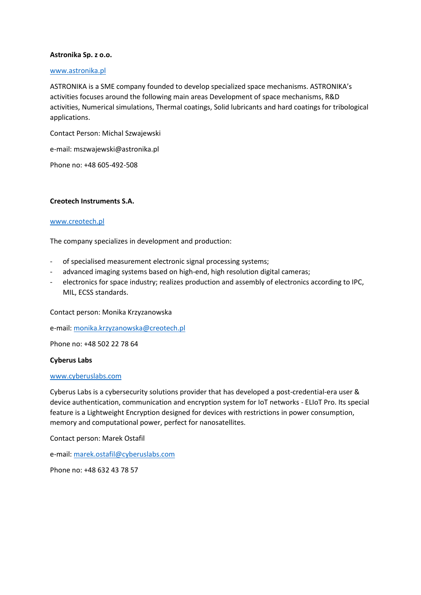# **Astronika Sp. z o.o.**

# [www.astronika.pl](http://www.astronika.pl/)

ASTRONIKA is a SME company founded to develop specialized space mechanisms. ASTRONIKA's activities focuses around the following main areas Development of space mechanisms, R&D activities, Numerical simulations, Thermal coatings, Solid lubricants and hard coatings for tribological applications.

Contact Person: Michal Szwajewski

e-mail: mszwajewski@astronika.pl

Phone no: +48 605-492-508

# **Creotech Instruments S.A.**

# [www.creotech.pl](http://www.creotech.pl/)

The company specializes in development and production:

- of specialised measurement electronic signal processing systems;
- advanced imaging systems based on high-end, high resolution digital cameras;
- electronics for space industry; realizes production and assembly of electronics according to IPC, MIL, ECSS standards.

Contact person: Monika Krzyzanowska

e-mail: [monika.krzyzanowska@creotech.pl](mailto:monika.krzyzanowska@creotech.pl)

Phone no: +48 502 22 78 64

### **Cyberus Labs**

### [www.cyberuslabs.com](http://www.cyberuslabs.com/)

Cyberus Labs is a cybersecurity solutions provider that has developed a post-credential-era user & device authentication, communication and encryption system for IoT networks - ELIoT Pro. Its special feature is a Lightweight Encryption designed for devices with restrictions in power consumption, memory and computational power, perfect for nanosatellites.

Contact person: Marek Ostafil

e-mail: [marek.ostafil@cyberuslabs.com](mailto:marek.ostafil@cyberuslabs.com)

Phone no: +48 632 43 78 57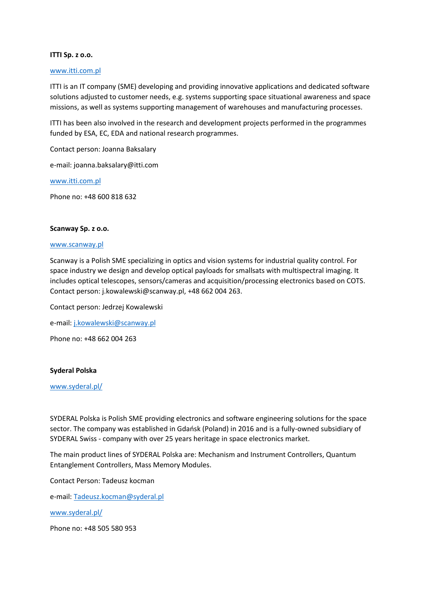# **ITTI Sp. z o.o.**

### [www.itti.com.pl](http://www.itti.com.pl/)

ITTI is an IT company (SME) developing and providing innovative applications and dedicated software solutions adjusted to customer needs, e.g. systems supporting space situational awareness and space missions, as well as systems supporting management of warehouses and manufacturing processes.

ITTI has been also involved in the research and development projects performed in the programmes funded by ESA, EC, EDA and national research programmes.

Contact person: Joanna Baksalary

e-mail: joanna.baksalary@itti.com

[www.itti.com.pl](http://www.itti.com.pl/)

Phone no: +48 600 818 632

# **Scanway Sp. z o.o.**

### [www.scanway.pl](http://www.scanway.pl/)

Scanway is a Polish SME specializing in optics and vision systems for industrial quality control. For space industry we design and develop optical payloads for smallsats with multispectral imaging. It includes optical telescopes, sensors/cameras and acquisition/processing electronics based on COTS. Contact person: j.kowalewski@scanway.pl, +48 662 004 263.

Contact person: Jedrzej Kowalewski

e-mail: [j.kowalewski@scanway.pl](mailto:j.kowalewski@scanway.pl)

Phone no: +48 662 004 263

### **Syderal Polska**

### [www.syderal.pl/](http://www.syderal.pl/)

SYDERAL Polska is Polish SME providing electronics and software engineering solutions for the space sector. The company was established in Gdańsk (Poland) in 2016 and is a fully-owned subsidiary of SYDERAL Swiss - company with over 25 years heritage in space electronics market.

The main product lines of SYDERAL Polska are: Mechanism and Instrument Controllers, Quantum Entanglement Controllers, Mass Memory Modules.

Contact Person: Tadeusz kocman

e-mail: [Tadeusz.kocman@syderal.pl](mailto:Tadeusz.kocman@syderal.pl)

[www.syderal.pl/](http://www.syderal.pl/)

Phone no: +48 505 580 953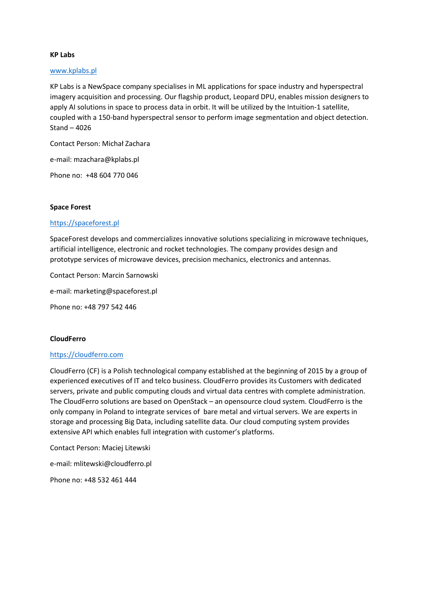# **KP Labs**

# [www.kplabs.pl](http://www.kplabs.pl/)

KP Labs is a NewSpace company specialises in ML applications for space industry and hyperspectral imagery acquisition and processing. Our flagship product, Leopard DPU, enables mission designers to apply AI solutions in space to process data in orbit. It will be utilized by the Intuition-1 satellite, coupled with a 150-band hyperspectral sensor to perform image segmentation and object detection. Stand – 4026

Contact Person: Michał Zachara

e-mail: [mzachara@kplabs.pl](mailto:mzachara@kplabs.pl)

Phone no: +48 604 770 046

### **Space Forest**

# [https://spaceforest.pl](https://spaceforest.pl/)

SpaceForest develops and commercializes innovative solutions specializing in microwave techniques, artificial intelligence, electronic and rocket technologies. The company provides design and prototype services of microwave devices, precision mechanics, electronics and antennas.

Contact Person: Marcin Sarnowski e-mail: [marketing@spaceforest.pl](mailto:marketing@spaceforest.pl)

Phone no: +48 797 542 446

# **CloudFerro**

# [https://cloudferro.com](https://cloudferro.com/)

CloudFerro (CF) is a Polish technological company established at the beginning of 2015 by a group of experienced executives of IT and telco business. CloudFerro provides its Customers with dedicated servers, private and public computing clouds and virtual data centres with complete administration. The CloudFerro solutions are based on OpenStack – an opensource cloud system. CloudFerro is the only company in Poland to integrate services of bare metal and virtual servers. We are experts in storage and processing Big Data, including satellite data. Our cloud computing system provides extensive API which enables full integration with customer's platforms.

Contact Person: Maciej Litewski

e-mail: [mlitewski@cloudferro.pl](mailto:mlitewski@cloudferro.pl)

Phone no: +48 532 461 444